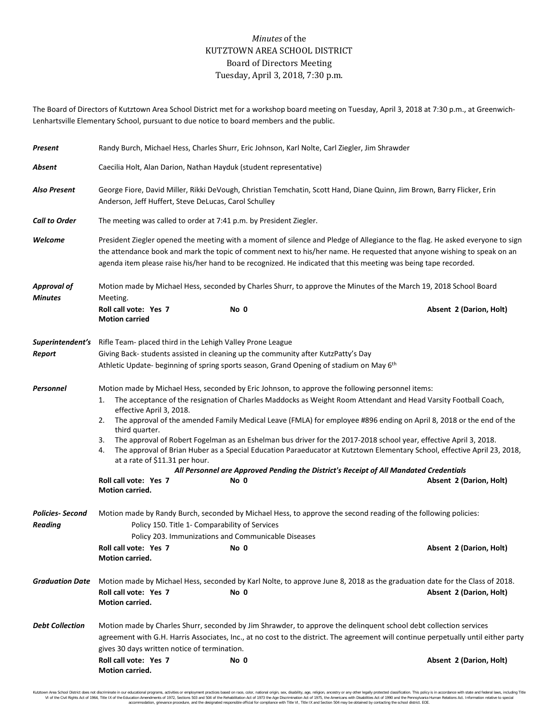## *Minutes* of the KUTZTOWN AREA SCHOOL DISTRICT Board of Directors Meeting Tuesday, April 3, 2018, 7:30 p.m.

The Board of Directors of Kutztown Area School District met for a workshop board meeting on Tuesday, April 3, 2018 at 7:30 p.m., at Greenwich-Lenhartsville Elementary School, pursuant to due notice to board members and the public.

| Present                                  | Randy Burch, Michael Hess, Charles Shurr, Eric Johnson, Karl Nolte, Carl Ziegler, Jim Shrawder                                                                                                                                                                                                                                                                                                                                                                                                                                                                                                                                                                                                                                                                                                                                                           |      |                                                                                                                            |                         |  |  |  |
|------------------------------------------|----------------------------------------------------------------------------------------------------------------------------------------------------------------------------------------------------------------------------------------------------------------------------------------------------------------------------------------------------------------------------------------------------------------------------------------------------------------------------------------------------------------------------------------------------------------------------------------------------------------------------------------------------------------------------------------------------------------------------------------------------------------------------------------------------------------------------------------------------------|------|----------------------------------------------------------------------------------------------------------------------------|-------------------------|--|--|--|
| Absent                                   | Caecilia Holt, Alan Darion, Nathan Hayduk (student representative)                                                                                                                                                                                                                                                                                                                                                                                                                                                                                                                                                                                                                                                                                                                                                                                       |      |                                                                                                                            |                         |  |  |  |
| <b>Also Present</b>                      | George Fiore, David Miller, Rikki DeVough, Christian Temchatin, Scott Hand, Diane Quinn, Jim Brown, Barry Flicker, Erin<br>Anderson, Jeff Huffert, Steve DeLucas, Carol Schulley                                                                                                                                                                                                                                                                                                                                                                                                                                                                                                                                                                                                                                                                         |      |                                                                                                                            |                         |  |  |  |
| <b>Call to Order</b>                     | The meeting was called to order at 7:41 p.m. by President Ziegler.                                                                                                                                                                                                                                                                                                                                                                                                                                                                                                                                                                                                                                                                                                                                                                                       |      |                                                                                                                            |                         |  |  |  |
| Welcome                                  | President Ziegler opened the meeting with a moment of silence and Pledge of Allegiance to the flag. He asked everyone to sign<br>the attendance book and mark the topic of comment next to his/her name. He requested that anyone wishing to speak on an<br>agenda item please raise his/her hand to be recognized. He indicated that this meeting was being tape recorded.                                                                                                                                                                                                                                                                                                                                                                                                                                                                              |      |                                                                                                                            |                         |  |  |  |
| <b>Approval of</b><br><b>Minutes</b>     | Motion made by Michael Hess, seconded by Charles Shurr, to approve the Minutes of the March 19, 2018 School Board<br>Meeting.                                                                                                                                                                                                                                                                                                                                                                                                                                                                                                                                                                                                                                                                                                                            |      |                                                                                                                            |                         |  |  |  |
|                                          | Roll call vote: Yes 7<br><b>Motion carried</b>                                                                                                                                                                                                                                                                                                                                                                                                                                                                                                                                                                                                                                                                                                                                                                                                           | No 0 |                                                                                                                            | Absent 2 (Darion, Holt) |  |  |  |
| Superintendent's<br>Report               | Rifle Team- placed third in the Lehigh Valley Prone League<br>Giving Back- students assisted in cleaning up the community after KutzPatty's Day<br>Athletic Update- beginning of spring sports season, Grand Opening of stadium on May 6 <sup>th</sup>                                                                                                                                                                                                                                                                                                                                                                                                                                                                                                                                                                                                   |      |                                                                                                                            |                         |  |  |  |
| Personnel                                | Motion made by Michael Hess, seconded by Eric Johnson, to approve the following personnel items:<br>The acceptance of the resignation of Charles Maddocks as Weight Room Attendant and Head Varsity Football Coach,<br>1.<br>effective April 3, 2018.<br>The approval of the amended Family Medical Leave (FMLA) for employee #896 ending on April 8, 2018 or the end of the<br>2.<br>third quarter.<br>The approval of Robert Fogelman as an Eshelman bus driver for the 2017-2018 school year, effective April 3, 2018.<br>3.<br>The approval of Brian Huber as a Special Education Paraeducator at Kutztown Elementary School, effective April 23, 2018,<br>4.<br>at a rate of \$11.31 per hour.<br>All Personnel are Approved Pending the District's Receipt of All Mandated Credentials<br>Roll call vote: Yes 7<br>No 0<br>Absent 2 (Darion, Holt) |      |                                                                                                                            |                         |  |  |  |
| <b>Policies-Second</b><br><b>Reading</b> | Motion carried.<br>Motion made by Randy Burch, seconded by Michael Hess, to approve the second reading of the following policies:<br>Policy 150. Title 1- Comparability of Services<br>Policy 203. Immunizations and Communicable Diseases<br>Absent 2 (Darion, Holt)<br>Roll call vote: Yes 7<br>No 0<br><b>Motion carried.</b>                                                                                                                                                                                                                                                                                                                                                                                                                                                                                                                         |      |                                                                                                                            |                         |  |  |  |
| <b>Graduation Date</b>                   | Roll call vote: Yes 7<br><b>Motion carried.</b>                                                                                                                                                                                                                                                                                                                                                                                                                                                                                                                                                                                                                                                                                                                                                                                                          | No 0 | Motion made by Michael Hess, seconded by Karl Nolte, to approve June 8, 2018 as the graduation date for the Class of 2018. | Absent 2 (Darion, Holt) |  |  |  |
| <b>Debt Collection</b>                   | Motion made by Charles Shurr, seconded by Jim Shrawder, to approve the delinquent school debt collection services<br>agreement with G.H. Harris Associates, Inc., at no cost to the district. The agreement will continue perpetually until either party<br>gives 30 days written notice of termination.<br>Roll call vote: Yes 7<br>Absent 2 (Darion, Holt)<br>No 0                                                                                                                                                                                                                                                                                                                                                                                                                                                                                     |      |                                                                                                                            |                         |  |  |  |
|                                          | Motion carried.                                                                                                                                                                                                                                                                                                                                                                                                                                                                                                                                                                                                                                                                                                                                                                                                                                          |      |                                                                                                                            |                         |  |  |  |

Kutztown Area School District does not discriminate in our educational programs, activities or employment practices based on race, color, national origin, sex, disability, age, religion, ancestry or any other legally prot